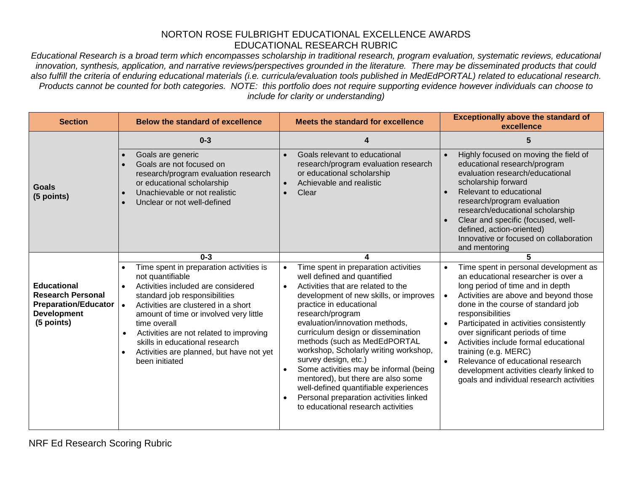## NORTON ROSE FULBRIGHT EDUCATIONAL EXCELLENCE AWARDS EDUCATIONAL RESEARCH RUBRIC

*Educational Research is a broad term which encompasses scholarship in traditional research, program evaluation, systematic reviews, educational innovation, synthesis, application, and narrative reviews/perspectives grounded in the literature. There may be disseminated products that could also fulfill the criteria of enduring educational materials (i.e. curricula/evaluation tools published in MedEdPORTAL) related to educational research. Products cannot be counted for both categories. NOTE: this portfolio does not require supporting evidence however individuals can choose to include for clarity or understanding)*

| <b>Section</b>                                                                                                    | <b>Below the standard of excellence</b>                                                                                                                                                                                                                                                                                                                                                                  | <b>Meets the standard for excellence</b>                                                                                                                                                                                                                                                                                                                                                                                                                                                                                                                                                          | <b>Exceptionally above the standard of</b><br>excellence                                                                                                                                                                                                                                                                                                                                                                                                                                                                                             |
|-------------------------------------------------------------------------------------------------------------------|----------------------------------------------------------------------------------------------------------------------------------------------------------------------------------------------------------------------------------------------------------------------------------------------------------------------------------------------------------------------------------------------------------|---------------------------------------------------------------------------------------------------------------------------------------------------------------------------------------------------------------------------------------------------------------------------------------------------------------------------------------------------------------------------------------------------------------------------------------------------------------------------------------------------------------------------------------------------------------------------------------------------|------------------------------------------------------------------------------------------------------------------------------------------------------------------------------------------------------------------------------------------------------------------------------------------------------------------------------------------------------------------------------------------------------------------------------------------------------------------------------------------------------------------------------------------------------|
|                                                                                                                   | $0 - 3$                                                                                                                                                                                                                                                                                                                                                                                                  | 4                                                                                                                                                                                                                                                                                                                                                                                                                                                                                                                                                                                                 | 5                                                                                                                                                                                                                                                                                                                                                                                                                                                                                                                                                    |
| Goals<br>(5 points)                                                                                               | Goals are generic<br>Goals are not focused on<br>$\bullet$<br>research/program evaluation research<br>or educational scholarship<br>Unachievable or not realistic<br>$\bullet$<br>Unclear or not well-defined                                                                                                                                                                                            | Goals relevant to educational<br>research/program evaluation research<br>or educational scholarship<br>Achievable and realistic<br>Clear<br>$\bullet$                                                                                                                                                                                                                                                                                                                                                                                                                                             | Highly focused on moving the field of<br>$\bullet$<br>educational research/program<br>evaluation research/educational<br>scholarship forward<br>Relevant to educational<br>research/program evaluation<br>research/educational scholarship<br>Clear and specific (focused, well-<br>defined, action-oriented)<br>Innovative or focused on collaboration<br>and mentoring                                                                                                                                                                             |
|                                                                                                                   | $0 - 3$                                                                                                                                                                                                                                                                                                                                                                                                  |                                                                                                                                                                                                                                                                                                                                                                                                                                                                                                                                                                                                   | 5                                                                                                                                                                                                                                                                                                                                                                                                                                                                                                                                                    |
| <b>Educational</b><br><b>Research Personal</b><br><b>Preparation/Educator</b><br><b>Development</b><br>(5 points) | Time spent in preparation activities is<br>not quantifiable<br>Activities included are considered<br>standard job responsibilities<br>Activities are clustered in a short<br>$\bullet$<br>amount of time or involved very little<br>time overall<br>Activities are not related to improving<br>$\bullet$<br>skills in educational research<br>Activities are planned, but have not yet<br>been initiated | Time spent in preparation activities<br>$\bullet$<br>well defined and quantified<br>Activities that are related to the<br>development of new skills, or improves<br>practice in educational<br>research/program<br>evaluation/innovation methods,<br>curriculum design or dissemination<br>methods (such as MedEdPORTAL<br>workshop, Scholarly writing workshop,<br>survey design, etc.)<br>Some activities may be informal (being<br>mentored), but there are also some<br>well-defined quantifiable experiences<br>Personal preparation activities linked<br>to educational research activities | Time spent in personal development as<br>$\bullet$<br>an educational researcher is over a<br>long period of time and in depth<br>Activities are above and beyond those<br>$\bullet$<br>done in the course of standard job<br>responsibilities<br>Participated in activities consistently<br>over significant periods of time<br>Activities include formal educational<br>$\bullet$<br>training (e.g. MERC)<br>Relevance of educational research<br>$\bullet$<br>development activities clearly linked to<br>goals and individual research activities |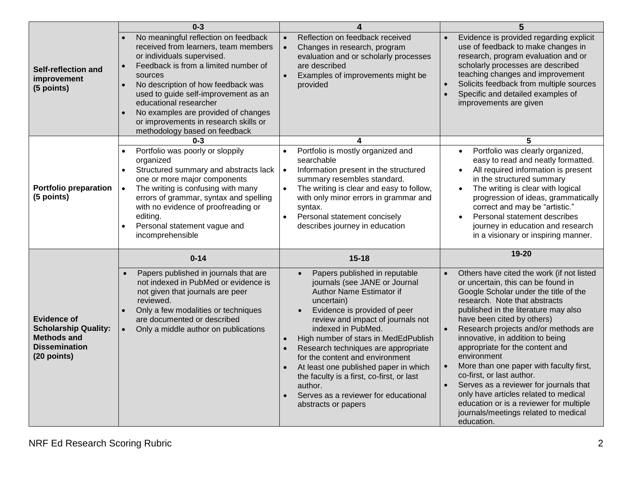|                                                                                                                | $0 - 3$                                                                                                                                                                                                                                                                                                                                                                                | 4                                                                                                                                                                                                                                                                                                                                                                                                                                                                                                                            | 5                                                                                                                                                                                                                                                                                                                                                                                                                                                                                                                                                                                                                                                                |
|----------------------------------------------------------------------------------------------------------------|----------------------------------------------------------------------------------------------------------------------------------------------------------------------------------------------------------------------------------------------------------------------------------------------------------------------------------------------------------------------------------------|------------------------------------------------------------------------------------------------------------------------------------------------------------------------------------------------------------------------------------------------------------------------------------------------------------------------------------------------------------------------------------------------------------------------------------------------------------------------------------------------------------------------------|------------------------------------------------------------------------------------------------------------------------------------------------------------------------------------------------------------------------------------------------------------------------------------------------------------------------------------------------------------------------------------------------------------------------------------------------------------------------------------------------------------------------------------------------------------------------------------------------------------------------------------------------------------------|
| Self-reflection and<br>improvement<br>(5 points)                                                               | No meaningful reflection on feedback<br>received from learners, team members<br>or individuals supervised.<br>Feedback is from a limited number of<br>sources<br>No description of how feedback was<br>used to guide self-improvement as an<br>educational researcher<br>No examples are provided of changes<br>or improvements in research skills or<br>methodology based on feedback | Reflection on feedback received<br>$\bullet$<br>Changes in research, program<br>evaluation and or scholarly processes<br>are described<br>Examples of improvements might be<br>provided                                                                                                                                                                                                                                                                                                                                      | Evidence is provided regarding explicit<br>$\bullet$<br>use of feedback to make changes in<br>research, program evaluation and or<br>scholarly processes are described<br>teaching changes and improvement<br>Solicits feedback from multiple sources<br>$\bullet$<br>Specific and detailed examples of<br>$\bullet$<br>improvements are given                                                                                                                                                                                                                                                                                                                   |
|                                                                                                                | $0 - 3$                                                                                                                                                                                                                                                                                                                                                                                | 4                                                                                                                                                                                                                                                                                                                                                                                                                                                                                                                            | 5                                                                                                                                                                                                                                                                                                                                                                                                                                                                                                                                                                                                                                                                |
| <b>Portfolio preparation</b><br>(5 points)                                                                     | Portfolio was poorly or sloppily<br>$\bullet$<br>organized<br>Structured summary and abstracts lack<br>$\bullet$<br>one or more major components<br>The writing is confusing with many<br>$\bullet$<br>errors of grammar, syntax and spelling<br>with no evidence of proofreading or<br>editing.<br>Personal statement vague and<br>incomprehensible                                   | Portfolio is mostly organized and<br>searchable<br>Information present in the structured<br>$\bullet$<br>summary resembles standard.<br>The writing is clear and easy to follow,<br>$\bullet$<br>with only minor errors in grammar and<br>syntax.<br>Personal statement concisely<br>$\bullet$<br>describes journey in education                                                                                                                                                                                             | Portfolio was clearly organized,<br>$\bullet$<br>easy to read and neatly formatted.<br>All required information is present<br>$\bullet$<br>in the structured summary<br>The writing is clear with logical<br>$\bullet$<br>progression of ideas, grammatically<br>correct and may be "artistic."<br>Personal statement describes<br>$\bullet$<br>journey in education and research<br>in a visionary or inspiring manner.                                                                                                                                                                                                                                         |
|                                                                                                                | $0 - 14$                                                                                                                                                                                                                                                                                                                                                                               | $15 - 18$                                                                                                                                                                                                                                                                                                                                                                                                                                                                                                                    | 19-20                                                                                                                                                                                                                                                                                                                                                                                                                                                                                                                                                                                                                                                            |
| <b>Evidence of</b><br><b>Scholarship Quality:</b><br><b>Methods and</b><br><b>Dissemination</b><br>(20 points) | Papers published in journals that are<br>not indexed in PubMed or evidence is<br>not given that journals are peer<br>reviewed.<br>Only a few modalities or techniques<br>are documented or described<br>Only a middle author on publications<br>$\bullet$                                                                                                                              | Papers published in reputable<br>$\bullet$<br>journals (see JANE or Journal<br>Author Name Estimator if<br>uncertain)<br>Evidence is provided of peer<br>review and impact of journals not<br>indexed in PubMed.<br>High number of stars in MedEdPublish<br>$\bullet$<br>$\bullet$<br>Research techniques are appropriate<br>for the content and environment<br>At least one published paper in which<br>the faculty is a first, co-first, or last<br>author.<br>Serves as a reviewer for educational<br>abstracts or papers | Others have cited the work (if not listed<br>$\bullet$<br>or uncertain, this can be found in<br>Google Scholar under the title of the<br>research. Note that abstracts<br>published in the literature may also<br>have been cited by others)<br>Research projects and/or methods are<br>$\bullet$<br>innovative, in addition to being<br>appropriate for the content and<br>environment<br>More than one paper with faculty first,<br>co-first, or last author.<br>Serves as a reviewer for journals that<br>$\bullet$<br>only have articles related to medical<br>education or is a reviewer for multiple<br>journals/meetings related to medical<br>education. |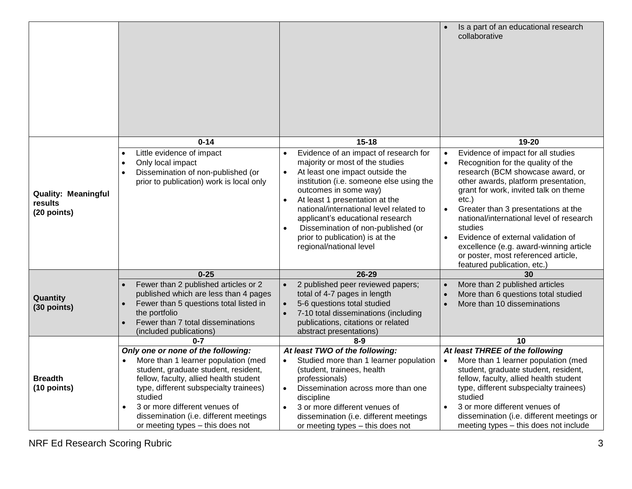|                                                      |                                                                                                                                                                                                                                                                                                                                              |                                                                                                                                                                                                                                                                                                                                                                                                                                 | Is a part of an educational research<br>collaborative                                                                                                                                                                                                                                                                                                                                                                                                                                                             |
|------------------------------------------------------|----------------------------------------------------------------------------------------------------------------------------------------------------------------------------------------------------------------------------------------------------------------------------------------------------------------------------------------------|---------------------------------------------------------------------------------------------------------------------------------------------------------------------------------------------------------------------------------------------------------------------------------------------------------------------------------------------------------------------------------------------------------------------------------|-------------------------------------------------------------------------------------------------------------------------------------------------------------------------------------------------------------------------------------------------------------------------------------------------------------------------------------------------------------------------------------------------------------------------------------------------------------------------------------------------------------------|
|                                                      | $0 - 14$                                                                                                                                                                                                                                                                                                                                     | $15 - 18$                                                                                                                                                                                                                                                                                                                                                                                                                       | 19-20                                                                                                                                                                                                                                                                                                                                                                                                                                                                                                             |
| <b>Quality: Meaningful</b><br>results<br>(20 points) | Little evidence of impact<br>Only local impact<br>Dissemination of non-published (or<br>$\bullet$<br>prior to publication) work is local only                                                                                                                                                                                                | Evidence of an impact of research for<br>majority or most of the studies<br>At least one impact outside the<br>$\bullet$<br>institution (i.e. someone else using the<br>outcomes in some way)<br>At least 1 presentation at the<br>$\bullet$<br>national/international level related to<br>applicant's educational research<br>Dissemination of non-published (or<br>prior to publication) is at the<br>regional/national level | Evidence of impact for all studies<br>$\bullet$<br>Recognition for the quality of the<br>$\bullet$<br>research (BCM showcase award, or<br>other awards, platform presentation,<br>grant for work, invited talk on theme<br>$etc.$ )<br>Greater than 3 presentations at the<br>$\bullet$<br>national/international level of research<br>studies<br>Evidence of external validation of<br>$\bullet$<br>excellence (e.g. award-winning article<br>or poster, most referenced article,<br>featured publication, etc.) |
|                                                      | $0 - 25$                                                                                                                                                                                                                                                                                                                                     | 26-29                                                                                                                                                                                                                                                                                                                                                                                                                           | 30                                                                                                                                                                                                                                                                                                                                                                                                                                                                                                                |
| Quantity<br>(30 points)                              | Fewer than 2 published articles or 2<br>published which are less than 4 pages<br>Fewer than 5 questions total listed in<br>the portfolio<br>Fewer than 7 total disseminations<br>(included publications)                                                                                                                                     | 2 published peer reviewed papers;<br>total of 4-7 pages in length<br>5-6 questions total studied<br>7-10 total disseminations (including<br>publications, citations or related<br>abstract presentations)                                                                                                                                                                                                                       | More than 2 published articles<br>More than 6 questions total studied<br>More than 10 disseminations                                                                                                                                                                                                                                                                                                                                                                                                              |
|                                                      | $0 - 7$                                                                                                                                                                                                                                                                                                                                      | $8 - 9$                                                                                                                                                                                                                                                                                                                                                                                                                         | 10                                                                                                                                                                                                                                                                                                                                                                                                                                                                                                                |
| <b>Breadth</b><br>(10 points)                        | Only one or none of the following:<br>More than 1 learner population (med<br>student, graduate student, resident,<br>fellow, faculty, allied health student<br>type, different subspecialty trainees)<br>studied<br>3 or more different venues of<br>$\bullet$<br>dissemination (i.e. different meetings<br>or meeting types - this does not | At least TWO of the following:<br>Studied more than 1 learner population<br>(student, trainees, health<br>professionals)<br>Dissemination across more than one<br>$\bullet$<br>discipline<br>3 or more different venues of<br>$\bullet$<br>dissemination (i.e. different meetings<br>or meeting types - this does not                                                                                                           | At least THREE of the following<br>More than 1 learner population (med<br>$\bullet$<br>student, graduate student, resident,<br>fellow, faculty, allied health student<br>type, different subspecialty trainees)<br>studied<br>3 or more different venues of<br>$\bullet$<br>dissemination (i.e. different meetings or<br>meeting types - this does not include                                                                                                                                                    |